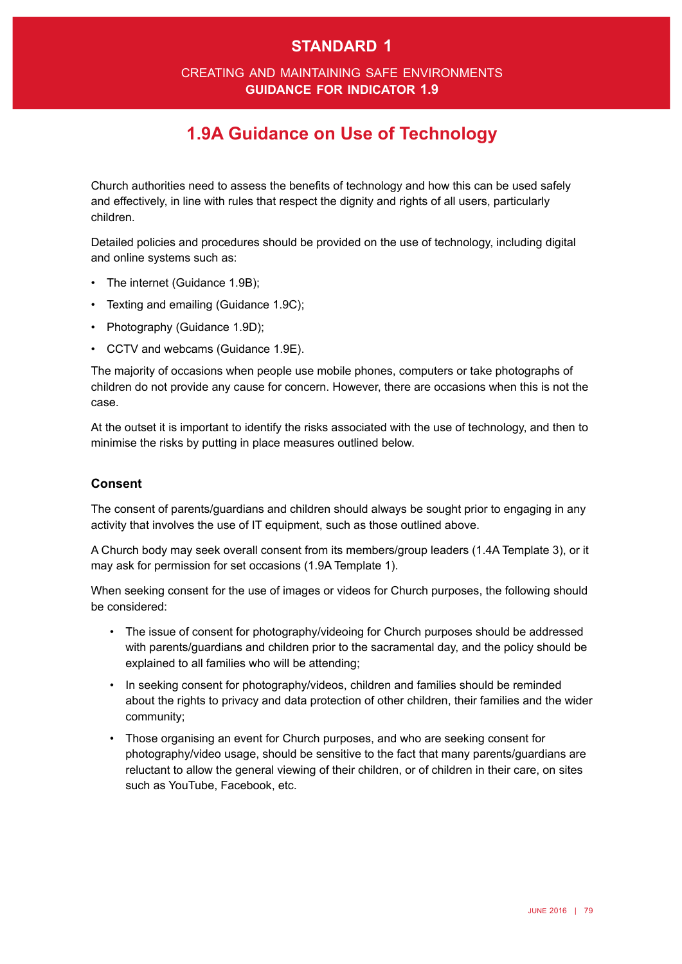## **standard 1**

### creating and maintaining safe environments **guidance for indicator 1.9**

# **1.9A Guidance on Use of Technology**

Church authorities need to assess the benefts of technology and how this can be used safely and effectively, in line with rules that respect the dignity and rights of all users, particularly children.

Detailed policies and procedures should be provided on the use of technology, including digital and online systems such as:

- The internet (Guidance 1.9B);
- Texting and emailing (Guidance 1.9C);
- Photography (Guidance 1.9D);
- • CCTV and webcams (Guidance 1.9E).

The majority of occasions when people use mobile phones, computers or take photographs of children do not provide any cause for concern. However, there are occasions when this is not the case.

At the outset it is important to identify the risks associated with the use of technology, and then to minimise the risks by putting in place measures outlined below.

#### **Consent**

The consent of parents/guardians and children should always be sought prior to engaging in any activity that involves the use of IT equipment, such as those outlined above.

A Church body may seek overall consent from its members/group leaders (1.4A Template 3), or it may ask for permission for set occasions (1.9A Template 1).

When seeking consent for the use of images or videos for Church purposes, the following should be considered:

- • The issue of consent for photography/videoing for Church purposes should be addressed with parents/guardians and children prior to the sacramental day, and the policy should be explained to all families who will be attending;
- In seeking consent for photography/videos, children and families should be reminded about the rights to privacy and data protection of other children, their families and the wider community;
- • Those organising an event for Church purposes, and who are seeking consent for photography/video usage, should be sensitive to the fact that many parents/guardians are reluctant to allow the general viewing of their children, or of children in their care, on sites such as YouTube, Facebook, etc.